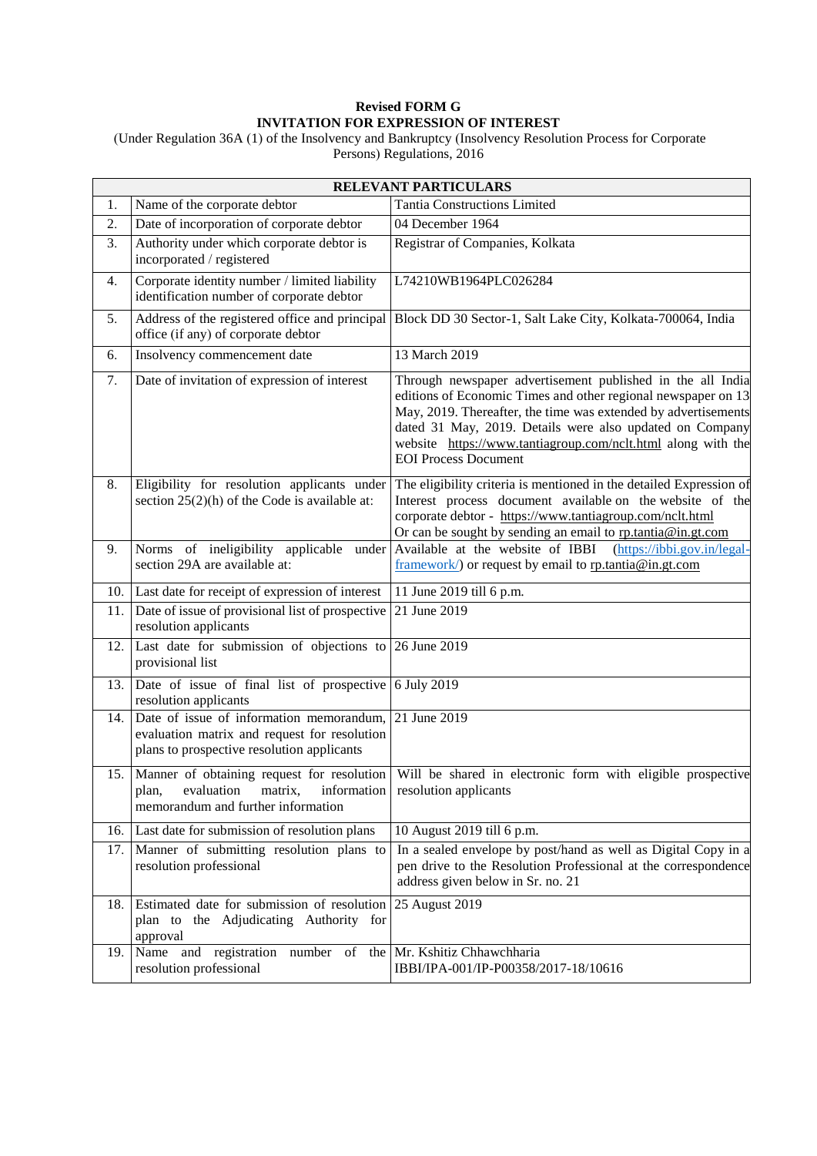## **Revised FORM G INVITATION FOR EXPRESSION OF INTEREST**

(Under Regulation 36A (1) of the Insolvency and Bankruptcy (Insolvency Resolution Process for Corporate Persons) Regulations, 2016

| <b>RELEVANT PARTICULARS</b> |                                                                                                                                                     |                                                                                                                                                                                                                                                                                                                                                          |  |
|-----------------------------|-----------------------------------------------------------------------------------------------------------------------------------------------------|----------------------------------------------------------------------------------------------------------------------------------------------------------------------------------------------------------------------------------------------------------------------------------------------------------------------------------------------------------|--|
| 1.                          | Name of the corporate debtor                                                                                                                        | <b>Tantia Constructions Limited</b>                                                                                                                                                                                                                                                                                                                      |  |
| 2.                          | Date of incorporation of corporate debtor                                                                                                           | 04 December 1964                                                                                                                                                                                                                                                                                                                                         |  |
| 3.                          | Authority under which corporate debtor is<br>incorporated / registered                                                                              | Registrar of Companies, Kolkata                                                                                                                                                                                                                                                                                                                          |  |
| 4.                          | Corporate identity number / limited liability<br>identification number of corporate debtor                                                          | L74210WB1964PLC026284                                                                                                                                                                                                                                                                                                                                    |  |
| 5.                          | Address of the registered office and principal<br>office (if any) of corporate debtor                                                               | Block DD 30 Sector-1, Salt Lake City, Kolkata-700064, India                                                                                                                                                                                                                                                                                              |  |
| 6.                          | Insolvency commencement date                                                                                                                        | 13 March 2019                                                                                                                                                                                                                                                                                                                                            |  |
| 7.                          | Date of invitation of expression of interest                                                                                                        | Through newspaper advertisement published in the all India<br>editions of Economic Times and other regional newspaper on 13<br>May, 2019. Thereafter, the time was extended by advertisements<br>dated 31 May, 2019. Details were also updated on Company<br>website https://www.tantiagroup.com/nclt.html along with the<br><b>EOI</b> Process Document |  |
| 8.                          | Eligibility for resolution applicants under<br>section $25(2)(h)$ of the Code is available at:                                                      | The eligibility criteria is mentioned in the detailed Expression of<br>Interest process document available on the website of the<br>corporate debtor - https://www.tantiagroup.com/nclt.html<br>Or can be sought by sending an email to rp.tantia@in.gt.com                                                                                              |  |
| 9.                          | Norms of ineligibility applicable under<br>section 29A are available at:                                                                            | Available at the website of IBBI<br>$(htts://ibbi.gov.in/legal-$<br>$fracwork$ ) or request by email to rp.tantia@in.gt.com                                                                                                                                                                                                                              |  |
|                             | 10. Last date for receipt of expression of interest                                                                                                 | 11 June 2019 till 6 p.m.                                                                                                                                                                                                                                                                                                                                 |  |
| 11.                         | Date of issue of provisional list of prospective 21 June 2019<br>resolution applicants                                                              |                                                                                                                                                                                                                                                                                                                                                          |  |
| 12.                         | Last date for submission of objections to $\sqrt{26 \text{ June } 2019}$<br>provisional list                                                        |                                                                                                                                                                                                                                                                                                                                                          |  |
|                             | 13. Date of issue of final list of prospective $\vert 6 \text{ July } 2019 \vert$<br>resolution applicants                                          |                                                                                                                                                                                                                                                                                                                                                          |  |
| 14.                         | Date of issue of information memorandum, 21 June 2019<br>evaluation matrix and request for resolution<br>plans to prospective resolution applicants |                                                                                                                                                                                                                                                                                                                                                          |  |
| 15.                         | plan, evaluation matrix, information<br>memorandum and further information                                                                          | Manner of obtaining request for resolution   Will be shared in electronic form with eligible prospective<br>resolution applicants                                                                                                                                                                                                                        |  |
|                             | 16. Last date for submission of resolution plans                                                                                                    | 10 August 2019 till 6 p.m.                                                                                                                                                                                                                                                                                                                               |  |
| 17.                         | Manner of submitting resolution plans to<br>resolution professional                                                                                 | In a sealed envelope by post/hand as well as Digital Copy in a<br>pen drive to the Resolution Professional at the correspondence<br>address given below in Sr. no. 21                                                                                                                                                                                    |  |
| 18.                         | Estimated date for submission of resolution 25 August 2019<br>plan to the Adjudicating Authority for<br>approval                                    |                                                                                                                                                                                                                                                                                                                                                          |  |
| 19.                         | Name and registration number of the Mr. Kshitiz Chhawchharia<br>resolution professional                                                             | IBBI/IPA-001/IP-P00358/2017-18/10616                                                                                                                                                                                                                                                                                                                     |  |